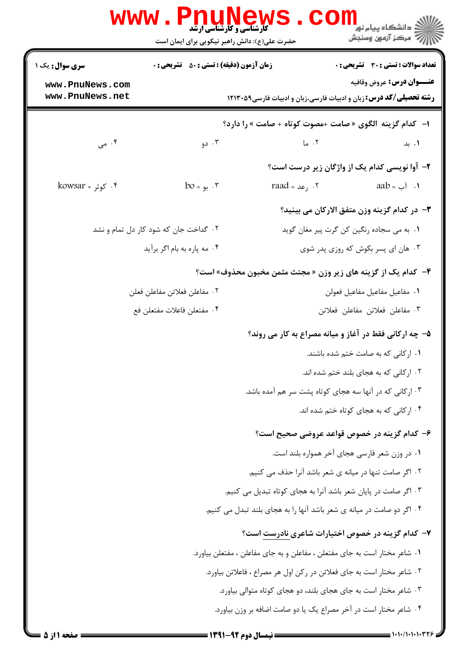|                                                                   | www.Pnur                                           | <b>کارشناسی و کارشناسی ارشد</b><br>حضرت علی(ع): دانش راهبر نیکویی برای ایمان است | ڪ دانشڪاه پيا <sub>م</sub> نور<br><mark>ر</mark> 7 مرڪز آزمون وسنڊش                                           |
|-------------------------------------------------------------------|----------------------------------------------------|----------------------------------------------------------------------------------|---------------------------------------------------------------------------------------------------------------|
| <b>سری سوال :</b> یک ۱                                            | <b>زمان آزمون (دقیقه) : تستی : 50 ٪ تشریحی : 0</b> |                                                                                  | تعداد سوالات : تستي : 30 ٪ تشريحي : 0                                                                         |
| www.PnuNews.com<br>www.PnuNews.net                                |                                                    |                                                                                  | <b>عنـــوان درس:</b> عروض وقافيه<br><b>رشته تحصیلی/کد درس:</b> زبان و ادبیات فارسی،زبان و ادبیات فارسی1۲۱۳۰۵۹ |
|                                                                   |                                                    |                                                                                  | ا- كدام گزينه الگوى «صامت +مصوت كوتاه + صامت » را دارد؟                                                       |
| ۰۴ می $\cdot$                                                     | ۰۳ دو                                              | ۰۲ ما                                                                            | ۰۱. بد                                                                                                        |
|                                                                   |                                                    |                                                                                  | ۲- آوا نویسی کدام یک از واژگان زیر درست است؟                                                                  |
| kowsar = کوثر - $\mathfrak{k}$                                    | $bo = p$ . بو                                      | raad <sub>= ر</sub> عد = raad                                                    | aab = آب $\delta$ 1.                                                                                          |
|                                                                   |                                                    |                                                                                  | <b>٣</b> - در كدام گزينه وزن متفق الاركان مي بينيد؟                                                           |
|                                                                   | ۰۲ گداخت جان که شود کار دل تمام و نشد              |                                                                                  | ٠١. به مي سجاده رنگين كن گرت پير مغان گويد                                                                    |
|                                                                   | ۰۴ مه پاره به بام اگر برآيد                        |                                                                                  | ۰۳ هان ای پسر بکوش که روزی پدر شوی                                                                            |
|                                                                   |                                                    |                                                                                  | ۴- کدام یک از گزینه های زیر وزن « مجتث مثمن مخبون محذوف» است؟                                                 |
|                                                                   | ٠٢ مفاعلن فعلاتن مفاعلن فعلن                       |                                                                                  | ٠١ مفاعيل مفاعيل مفاعيل فعولن                                                                                 |
| ۰۴ مفتعلن فاعلات مفتعلن فع                                        |                                                    | ٠٣ مفاعلن فعلاتن مفاعلن فعلاتن                                                   |                                                                                                               |
|                                                                   |                                                    |                                                                                  | ۵– چه ارکانی فقط در آغاز و میانه مصراع به کار می روند؟                                                        |
|                                                                   |                                                    |                                                                                  | ۰۱ ارکانی که به صامت ختم شده باشند.                                                                           |
|                                                                   |                                                    |                                                                                  | ۰۲ ارکانی که به هجای بلند ختم شده اند.                                                                        |
|                                                                   |                                                    |                                                                                  | ۰۳ ارکانی که در آنها سه هجای کوتاه پشت سر هم آمده باشد.                                                       |
|                                                                   |                                                    |                                                                                  | ۰۴ ارکانی که به هجای کوتاه ختم شده اند.                                                                       |
|                                                                   |                                                    |                                                                                  | ۶– کدام گزینه در خصوص قواعد عروضی صحیح است؟                                                                   |
|                                                                   |                                                    |                                                                                  | ٠١ در وزن شعر فارسي هجاي آخر همواره بلند است.                                                                 |
| ۰۲ اگر صامت تنها در میانه ی شعر باشد آنرا حذف می کنیم.            |                                                    |                                                                                  |                                                                                                               |
|                                                                   |                                                    | ۰۳ اگر صامت در پایان شعر باشد آنرا به هجای کوتاه تبدیل می کنیم.                  |                                                                                                               |
|                                                                   |                                                    | ۰۴ اگر دو صامت در میانه ی شعر باشد آنها را به هجای بلند تبدل می کنیم.            |                                                                                                               |
|                                                                   |                                                    |                                                                                  | ۷– کدام گزینه در خصوص اختیارات شاعری نادرست است؟                                                              |
|                                                                   |                                                    | ۰۱ شاعر مختار است به جای مفتعلن ، مفاعلن و به جای مفاعلن ، مفتعلن بیاورد.        |                                                                                                               |
|                                                                   |                                                    | ۲. شاعر مختار است به جای فعلاتن در رکن اول هر مصراع ، فاعلاتن بیاورد.            |                                                                                                               |
|                                                                   |                                                    | ۰۳ شاعر مختار است به جای هجای بلند، دو هجای کوتاه متوالی بیاورد.                 |                                                                                                               |
| ۰۴ شاعر مختار است در آخر مصراع یک یا دو صامت اضافه بر وزن بیاورد. |                                                    |                                                                                  |                                                                                                               |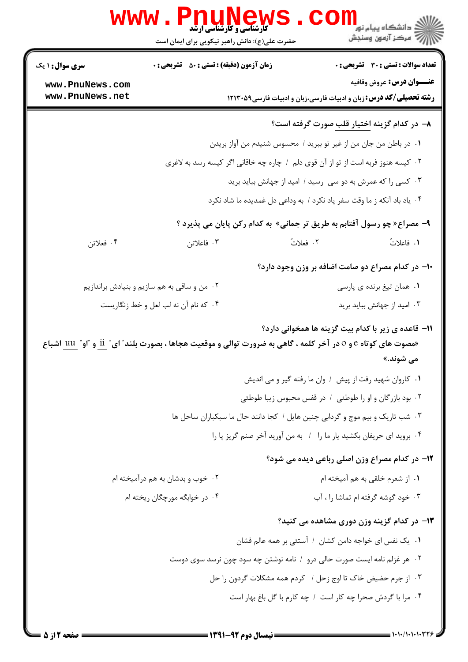|                        | <b>WWW.PNUNEW</b><br><b>کارشناسی و کارشناسی ارشد</b><br>حضرت علی(ع): دانش راهبر نیکویی برای ایمان است           | ڪ دانشڪاه پيا <sub>م</sub> نور<br>ر <i>ا</i> ⊂ مرڪز آزمون وسنجش                  |
|------------------------|-----------------------------------------------------------------------------------------------------------------|----------------------------------------------------------------------------------|
| <b>سری سوال : ۱ یک</b> | <b>زمان آزمون (دقیقه) : تستی : 50 ٪ تشریحی : 0</b>                                                              | <b>تعداد سوالات : تستی : 30 ٪ تشریحی : 0</b>                                     |
| www.PnuNews.com        |                                                                                                                 | <b>عنـــوان درس:</b> عروض وقافيه                                                 |
| www.PnuNews.net        |                                                                                                                 | <b>رشته تحصیلی/کد درس:</b> زبان و ادبیات فارسی،زبان و ادبیات فارسی1۲۱۳۰۵۹        |
|                        |                                                                                                                 | ٨− در کدام گزینه <u>اختیار قلب</u> صورت گرفته است؟                               |
|                        |                                                                                                                 | ٠١ در باطن من جان من از غير تو ببريد / محسوس شنيدم من آواز بريدن                 |
|                        |                                                                                                                 | ۰۲ کیسه هنوز فربه است از تو از آن قوی دلم ۱ چاره چه خاقانی اگر کیسه رسد به لاغری |
|                        |                                                                                                                 | ۰۳ کسی را که عمرش به دو سی رسید / امید از جهانش بباید برید                       |
|                        |                                                                                                                 | ۰۴ یاد باد آنکه ز ما وقت سفر یاد نکرد / به وداعی دل غمدیده ما شاد نکرد           |
|                        |                                                                                                                 | ۹- مصراع« چو رسول آفتابم به طریق تر جمانی» به کدام رکن پایان می پذیرد ؟          |
| ۰۴ فعلاتن              | ۰۳ فاعلاتن                                                                                                      | ٢. فعلاتٌ<br>١. فاعلاتُ                                                          |
|                        |                                                                                                                 | ۱۰- در کدام مصراع دو صامت اضافه بر وزن وجود دارد؟                                |
|                        | ۰۲ من و ساقی به هم سازیم و بنیادش براندازیم                                                                     | ۰۱ همان تیغ برنده ی پارسی                                                        |
|                        | ۰۴ که نام آن نه لب لعل و خط زنگاریست                                                                            | ۰۳ امید از جهانش بباید برید                                                      |
|                        | «مصوت های کوتاه e و o در آخر کلمه ، گاهی به ضرورت توالی و موقعیت هجاها ، بصورت بلند ؒ ای ؒ ii و ؒ او ؒ uu اشباع | 11– قاعده ی زیر با کدام بیت گزینه ها همخوانی دارد؟<br>می شوند.»                  |
|                        |                                                                                                                 | ۰۱ كاروان شهيد رفت از پيش / وان ما رفته گير و مي انديش                           |
|                        |                                                                                                                 | ۰۲ بود بازرگان و او را طوطئی ۱ در قفس محبوس زیبا طوطئی                           |
|                        |                                                                                                                 | ۰۳ شب تاریک و بیم موج و گردابی چنین هایل / کجا دانند حال ما سبکباران ساحل ها     |
|                        |                                                                                                                 | ۰۴ بروید ای حریفان بکشید یار ما را ۱ به من آورید آخر صنم گریز پا را              |
|                        |                                                                                                                 | <b>۱۲</b> - در کدام مصراع وزن اصلی رباعی دیده می شود؟                            |
|                        | ۰۲ خوب و بدشان به هم درآمیخته ام                                                                                | ٠١ از شعرم خلقي به هم آميخته ام                                                  |
|                        | ۰۴ در خوابگه مورچگان ریخته ام                                                                                   | ۰۳ خود گوشه گرفته ام تماشا را ، آب                                               |
|                        |                                                                                                                 | ۱۳- در کدام گزینه وزن دوری مشاهده می کنید؟                                       |
|                        |                                                                                                                 | ٠١. يک نفس اى خواجه دامن كشان ١ آستئى بر همه عالم فشان                           |
|                        |                                                                                                                 | ۰۲ هر غزلم نامه ایست صورت حالی درو ۱ نامه نوشتن چه سود چون نرسد سوی دوست         |
|                        |                                                                                                                 | ۰۳ از جرم حضیض خاک تا اوج زحل / کردم همه مشکلات گردون را حل                      |
|                        |                                                                                                                 | ۰۴ مرا با گردش صحرا چه کار است / چه کارم با گل باغ بهار است                      |
|                        |                                                                                                                 |                                                                                  |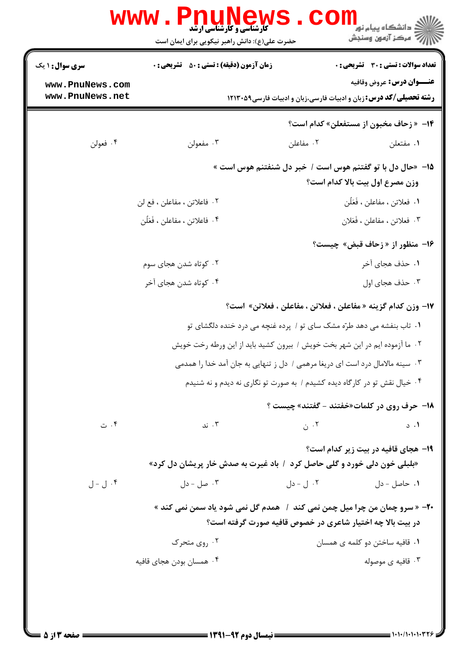|                                    | <b>www.PnuNews</b><br><b>گارشناسی و کارشناسی ارشد</b>                              |           | دانشکاه پيام نور<br>ا∛ مرکز آزمون وسنجش                                                                       |
|------------------------------------|------------------------------------------------------------------------------------|-----------|---------------------------------------------------------------------------------------------------------------|
|                                    | حضرت علی(ع): دانش راهبر نیکویی برای ایمان است                                      |           |                                                                                                               |
| <b>سری سوال :</b> ۱ یک             | <b>زمان آزمون (دقیقه) : تستی : 50 ٪ تشریحی : 0</b>                                 |           | تعداد سوالات : تستي : 30 ٪ تشريحي : 0                                                                         |
| www.PnuNews.com<br>www.PnuNews.net |                                                                                    |           | <b>عنـــوان درس:</b> عروض وقافيه<br><b>رشته تحصیلی/کد درس:</b> زبان و ادبیات فارسی،زبان و ادبیات فارسی1۲۱۳۰۵۹ |
|                                    |                                                                                    |           | 14- « زحاف مخبون از مستفعلن» كدام است؟                                                                        |
| ۰۴ فعولن                           | ۰۳ مفعولن                                                                          | ۰۲ مفاعلن | ٠١. مفتعلن                                                                                                    |
|                                    |                                                                                    |           | ۱۵– «حال دل با تو گفتنم هوس است / خبر دل شنفتنم هوس است »<br>وزن مصرع اول بيت بالا كدام است؟                  |
|                                    | ٢. فاعلاتن ، مفاعلن ، فع لن                                                        |           | ١. فعلاتن ، مفاعلن ، فَعَلَّن                                                                                 |
|                                    | ۰۴ فاعلاتن ، مفاعلن ، فَعَلُن                                                      |           | ۰۳ فعلاتن ، مفاعلن ، فَعَلان                                                                                  |
|                                    |                                                                                    |           | ۱۶- منظور از « زحاف قبض» چیست؟                                                                                |
|                                    | ۰۲ کوتاه شدن هجای سوم                                                              |           | ۰۱ حذف هجای آخر                                                                                               |
|                                    | ۰۴ کوتاه شدن هجای آخر                                                              |           | ۰۳ حذف هجای اول                                                                                               |
|                                    |                                                                                    |           | 17- وزن كدام گزينه « مفاعلن ، فعلاتن ، مفاعلن ، فعلاتن» است؟                                                  |
|                                    |                                                                                    |           | ۰۱ تاب بنفشه می دهد طرّه مشک سای تو / پرده غنچه می درد خنده دلگشای تو                                         |
|                                    |                                                                                    |           | ۰۲ ما آزموده ایم در این شهر بخت خویش / بیرون کشید باید از این ورطه رخت خویش                                   |
|                                    |                                                                                    |           | ۰۳ سینه مالامال درد است ای دریغا مرهمی / دل ز تنهایی به جان آمد خدا را همدمی                                  |
|                                    |                                                                                    |           | ۰۴ خیال نقش تو در کارگاه دیده کشیدم / به صورت تو نگاری نه دیدم و نه شنیدم                                     |
|                                    |                                                                                    |           | <b>18- حرف روی در کلمات«خفتند - گفتند» چیست ؟</b>                                                             |
| ۰۴ ت                               | ۰۳ ند                                                                              | ۰۲ ن      | ۰۱ د                                                                                                          |
|                                    | «بلبلی خون دلی خورد و گلی حاصل کرد ۱ باد غیرت به صدش خار پریشان دل کرد»            |           | <b>۱۹- هجای قافیه در بیت زیر کدام است</b> ؟                                                                   |
| ۰۴ ل - ل                           | ۰۳ صل - دل                                                                         | ۰۲ ل - دل | ۰۱ حاصل - دل                                                                                                  |
|                                    | <b>۲۰</b> - «سرو چمان من چرا میل چمن نمی کند ۱ ً همدم گل نمی شود یاد سمن نمی کند » |           | در بیت بالا چه اختیار شاعری در خصوص قافیه صورت گرفته است؟                                                     |
|                                    | ۰۲ روی متحرک                                                                       |           | ٠١ قافيه ساختن دو كلمه ى همسان                                                                                |
|                                    | ۰۴ همسان بودن هجای قافیه                                                           |           | ۰۳ قافیه ی موصوله                                                                                             |
|                                    |                                                                                    |           |                                                                                                               |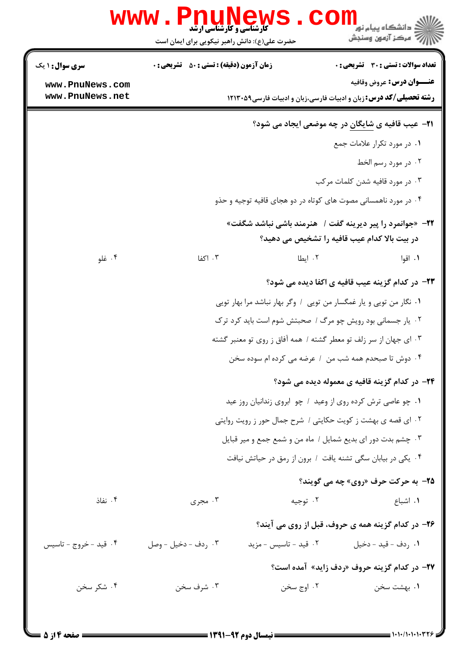|                                    | <b>www.Pnunews</b><br><b>کارشناسی و کارشناسی ارشد</b><br>حضرت علی(ع): دانش راهبر نیکویی برای ایمان است |                                                                     | ≧ دانشگاه پيام نو <mark>ر</mark><br>رِ ۖ مرڪز آزمون وسنڊش                                                     |
|------------------------------------|--------------------------------------------------------------------------------------------------------|---------------------------------------------------------------------|---------------------------------------------------------------------------------------------------------------|
| <b>سری سوال : ۱ یک</b>             | <b>زمان آزمون (دقیقه) : تستی : 50 ٪ تشریحی : 0</b>                                                     |                                                                     | <b>تعداد سوالات : تستی : 30 ٪ تشریحی : 0</b>                                                                  |
| www.PnuNews.com<br>www.PnuNews.net |                                                                                                        |                                                                     | <b>عنـــوان درس:</b> عروض وقافيه<br><b>رشته تحصیلی/کد درس:</b> زبان و ادبیات فارسی،زبان و ادبیات فارسی1۲۱۳۰۵۹ |
|                                    |                                                                                                        |                                                                     | <b>۲۱</b> - عیب قافیه ی شایگان در چه موضعی ایجاد می شود؟                                                      |
|                                    |                                                                                                        |                                                                     | ٠١ در مورد تكرار علامات جمع                                                                                   |
|                                    |                                                                                                        |                                                                     | ۰۲ در مورد رسم الخط                                                                                           |
|                                    |                                                                                                        |                                                                     | ۰۳ در مورد قافیه شدن کلمات مرکب                                                                               |
|                                    |                                                                                                        |                                                                     | ۰۴ در مورد ناهمسانی مصوت های کوتاه در دو هجای قافیه توجیه و حذو                                               |
|                                    |                                                                                                        |                                                                     | 22- «جوانمرد را پیر دیرینه گفت /   هنرمند باشی نباشد شگفت»<br>در بیت بالا کدام عیب قافیه را تشخیص می دهید؟    |
| ۰۴ غلو                             | ۰۳ اکفا                                                                                                | ۰۲ ایطا                                                             | ۰۱ اقوا                                                                                                       |
|                                    |                                                                                                        |                                                                     | <b>۲۳</b> - در کدام گزینه عیب قافیه ی اکفا دیده می شود؟                                                       |
|                                    |                                                                                                        | ۰۱ نگار من تویی و یار غمگسار من تویی / وگر بهار نباشد مرا بهار تویی |                                                                                                               |
|                                    |                                                                                                        |                                                                     | ۰۲ یار جسمانی بود رویش چو مرگ / صحبتش شوم است باید کرد ترک                                                    |
|                                    |                                                                                                        |                                                                     | ۰۳ ای جهان از سر زلف تو معطر گشته / همه آفاق ز روی تو معنبر گشته                                              |
|                                    |                                                                                                        |                                                                     | ۰۴ دوش تا صبحدم همه شب من ۱ عرضه می کرده ام سوده سخن                                                          |
|                                    |                                                                                                        |                                                                     | ۲۴– در کدام گزینه قافیه ی معموله دیده می شود؟                                                                 |
|                                    |                                                                                                        | ۰۱ چو عاصی ترش کرده روی از وعید ۱ چو ابروی زندانیان روز عید         |                                                                                                               |
|                                    |                                                                                                        |                                                                     | ٢. ای قصه ی بهشت ز کویت حکایتی / شرح جمال حور ز رویت روایتی                                                   |
|                                    |                                                                                                        |                                                                     | ۰۳ چشم بدت دور ای بدیع شمایل / ماه من و شمع جمع و میر قبایل                                                   |
|                                    |                                                                                                        |                                                                     | ۰۴ یکی در بیابان سگی تشنه یافت / برون از رمق در حیاتش نیافت                                                   |
|                                    |                                                                                                        |                                                                     | <b>۲۵- به حرکت حرف «روی» چه می گویند؟</b>                                                                     |
| ۰۴ نفاذ                            | ۰۳ مجری                                                                                                | ۰۲ توجیه                                                            | ۰۱ اشباع                                                                                                      |
|                                    |                                                                                                        |                                                                     | ۲۶- در کدام گزینه همه ی حروف، قبل از روی می آیند؟                                                             |
| ۰۴ قید - خروج - تاسیس              | ۰۳ ردف - دخيل - وصل                                                                                    | ۰۲ قید - تاسیس - مزید                                               | ٠١ ردف - قيد - دخيل                                                                                           |
|                                    |                                                                                                        |                                                                     | <b>۲۷</b> - در کدام گزینه حروف «ردف زاید» آمده است؟                                                           |
| ۰۴ شکر سخن                         | ۰۳ شرف سخن                                                                                             | ۰۲ اوج سخن                                                          | ۰۱ بهشت سخن                                                                                                   |